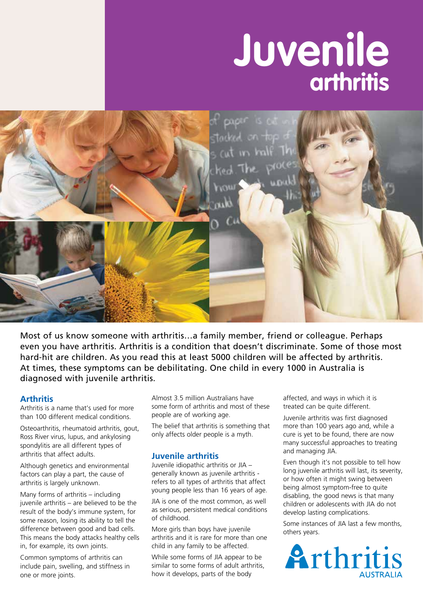# **arthritis Juvenile**



Most of us know someone with arthritis…a family member, friend or colleague. Perhaps even you have arthritis. Arthritis is a condition that doesn't discriminate. Some of those most hard-hit are children. As you read this at least 5000 children will be affected by arthritis. At times, these symptoms can be debilitating. One child in every 1000 in Australia is diagnosed with juvenile arthritis.

### **Arthritis**

Arthritis is a name that's used for more than 100 different medical conditions.

Osteoarthritis, rheumatoid arthritis, gout, Ross River virus, lupus, and ankylosing spondylitis are all different types of arthritis that affect adults.

Although genetics and environmental factors can play a part, the cause of arthritis is largely unknown.

Many forms of arthritis – including juvenile arthritis – are believed to be the result of the body's immune system, for some reason, losing its ability to tell the difference between good and bad cells. This means the body attacks healthy cells in, for example, its own joints.

Common symptoms of arthritis can include pain, swelling, and stiffness in one or more joints.

Almost 3.5 million Australians have some form of arthritis and most of these people are of working age.

The belief that arthritis is something that only affects older people is a myth.

### **Juvenile arthritis**

Juvenile idiopathic arthritis or JIA – generally known as juvenile arthritis refers to all types of arthritis that affect young people less than 16 years of age.

JIA is one of the most common, as well as serious, persistent medical conditions of childhood.

More girls than boys have juvenile arthritis and it is rare for more than one child in any family to be affected.

While some forms of JIA appear to be similar to some forms of adult arthritis, how it develops, parts of the body

affected, and ways in which it is treated can be quite different.

Juvenile arthritis was first diagnosed more than 100 years ago and, while a cure is yet to be found, there are now many successful approaches to treating and managing JIA.

Even though it's not possible to tell how long juvenile arthritis will last, its severity, or how often it might swing between being almost symptom-free to quite disabling, the good news is that many children or adolescents with JIA do not develop lasting complications.

Some instances of JIA last a few months, others years.

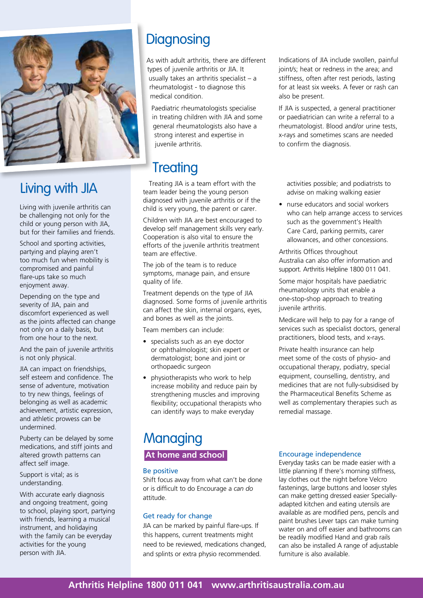

# Living with JIA

Living with juvenile arthritis can be challenging not only for the child or young person with JIA, but for their families and friends.

School and sporting activities, partying and playing aren't too much fun when mobility is compromised and painful flare-ups take so much enjoyment away.

Depending on the type and severity of JIA, pain and discomfort experienced as well as the joints affected can change not only on a daily basis, but from one hour to the next.

And the pain of juvenile arthritis is not only physical.

JIA can impact on friendships, self esteem and confidence. The sense of adventure, motivation to try new things, feelings of belonging as well as academic achievement, artistic expression, and athletic prowess can be undermined.

Puberty can be delayed by some medications, and stiff joints and altered growth patterns can affect self image.

Support is vital; as is understanding.

With accurate early diagnosis and ongoing treatment, going to school, playing sport, partying with friends, learning a musical instrument, and holidaying with the family can be everyday activities for the young person with JIA.

# **Diagnosing**

As with adult arthritis, there are different types of juvenile arthritis or JIA. It usually takes an arthritis specialist – a rheumatologist - to diagnose this medical condition.

Paediatric rheumatologists specialise in treating children with JIA and some general rheumatologists also have a strong interest and expertise in juvenile arthritis.

# **Treating**

Treating JIA is a team effort with the team leader being the young person diagnosed with juvenile arthritis or if the child is very young, the parent or carer.

Children with JIA are best encouraged to develop self management skills very early. Cooperation is also vital to ensure the efforts of the juvenile arthritis treatment team are effective.

The job of the team is to reduce symptoms, manage pain, and ensure quality of life.

Treatment depends on the type of JIA diagnosed. Some forms of juvenile arthritis can affect the skin, internal organs, eyes, and bones as well as the joints.

Team members can include:

- specialists such as an eye doctor or ophthalmologist; skin expert or dermatologist; bone and joint or orthopaedic surgeon
- physiotherapists who work to help increase mobility and reduce pain by strengthening muscles and improving flexibility; occupational therapists who can identify ways to make everyday

### Indications of JIA include swollen, painful joint/s; heat or redness in the area; and stiffness, often after rest periods, lasting for at least six weeks. A fever or rash can also be present.

If JIA is suspected, a general practitioner or paediatrician can write a referral to a rheumatologist. Blood and/or urine tests, x-rays and sometimes scans are needed to confirm the diagnosis.

activities possible; and podiatrists to advise on making walking easier

• nurse educators and social workers who can help arrange access to services such as the government's Health Care Card, parking permits, carer allowances, and other concessions.

Arthritis Offices throughout Australia can also offer information and support. Arthritis Helpline 1800 011 041.

Some major hospitals have paediatric rheumatology units that enable a one-stop-shop approach to treating juvenile arthritis.

Medicare will help to pay for a range of services such as specialist doctors, general practitioners, blood tests, and x-rays.

Private health insurance can help meet some of the costs of physio- and occupational therapy, podiatry, special equipment, counselling, dentistry, and medicines that are not fully-subsidised by the Pharmaceutical Benefits Scheme as well as complementary therapies such as remedial massage.

# **Managing At home and school**

### Be positive

Shift focus away from what can't be done or is difficult to do Encourage a *can do* attitude.

# Get ready for change

JIA can be marked by painful flare-ups. If this happens, current treatments might need to be reviewed, medications changed, and splints or extra physio recommended.

# Encourage independence

Everyday tasks can be made easier with a little planning If there's morning stiffness, lay clothes out the night before Velcro fastenings, large buttons and looser styles can make getting dressed easier Speciallyadapted kitchen and eating utensils are available as are modified pens, pencils and paint brushes Lever taps can make turning water on and off easier and bathrooms can be readily modified Hand and grab rails can also be installed A range of adjustable furniture is also available.